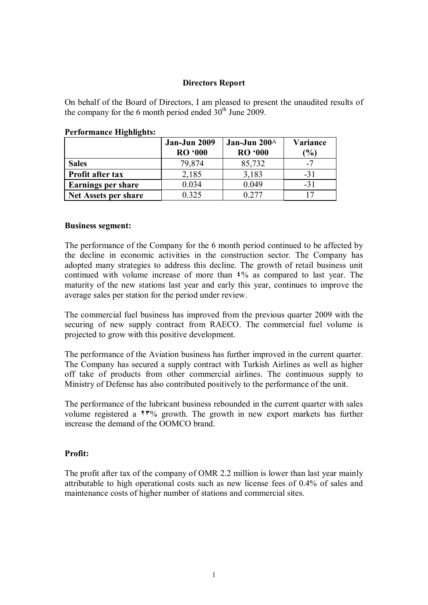## **Directors Report**

On behalf of the Board of Directors, I am pleased to present the unaudited results of the company for the 6 month period ended  $30<sup>th</sup>$  June 2009.

|                           | Jan-Jun 2009<br><b>RO</b> '000 | Jan-Jun $200\wedge$<br><b>RO '000</b> | Variance<br>$\mathcal{O}(0)$ |
|---------------------------|--------------------------------|---------------------------------------|------------------------------|
| <b>Sales</b>              | 79,874                         | 85,732                                | -7                           |
| Profit after tax          | 2,185                          | 3,183                                 | $-31$                        |
| <b>Earnings per share</b> | 0.034                          | 0.049                                 | $-31$                        |
| Net Assets per share      | 0.325                          |                                       |                              |

#### **Performance Highlights:**

#### **Business segment:**

The performance of the Company for the 6 month period continued to be affected by the decline in economic activities in the construction sector. The Company has adopted many strategies to address this decline. The growth of retail business unit continued with volume increase of more than **٤**% as compared to last year. The maturity of the new stations last year and early this year, continues to improve the average sales per station for the period under review.

The commercial fuel business has improved from the previous quarter 2009 with the securing of new supply contract from RAECO. The commercial fuel volume is projected to grow with this positive development.

The performance of the Aviation business has further improved in the current quarter. The Company has secured a supply contract with Turkish Airlines as well as higher off take of products from other commercial airlines. The continuous supply to Ministry of Defense has also contributed positively to the performance of the unit.

The performance of the lubricant business rebounded in the current quarter with sales volume registered a **٢٣**% growth. The growth in new export markets has further increase the demand of the OOMCO brand.

### **Profit:**

The profit after tax of the company of OMR 2.2 million is lower than last year mainly attributable to high operational costs such as new license fees of 0.4% of sales and maintenance costs of higher number of stations and commercial sites.